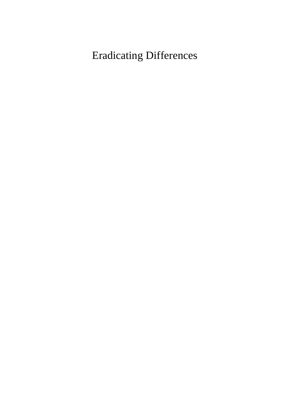## Eradicating Differences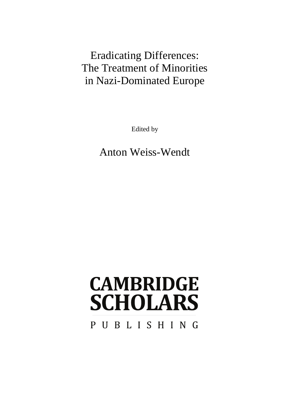### Eradicating Differences: The Treatment of Minorities in Nazi-Dominated Europe

Edited by

Anton Weiss-Wendt

# **CAMBRIDGE SCHOLARS**

PUBLISHING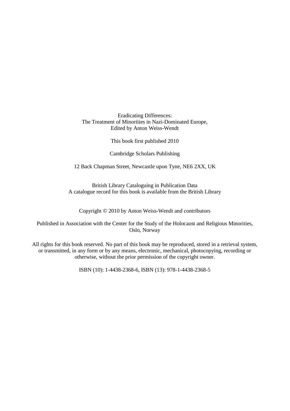Eradicating Differences: The Treatment of Minorities in Nazi-Dominated Europe, Edited by Anton Weiss-Wendt

This book first published 2010

Cambridge Scholars Publishing

12 Back Chapman Street, Newcastle upon Tyne, NE6 2XX, UK

British Library Cataloguing in Publication Data A catalogue record for this book is available from the British Library

Copyright © 2010 by Anton Weiss-Wendt and contributors

Published in Association with the Center for the Study of the Holocaust and Religious Minorities, Oslo, Norway

All rights for this book reserved. No part of this book may be reproduced, stored in a retrieval system, or transmitted, in any form or by any means, electronic, mechanical, photocopying, recording or otherwise, without the prior permission of the copyright owner.

ISBN (10): 1-4438-2368-6, ISBN (13): 978-1-4438-2368-5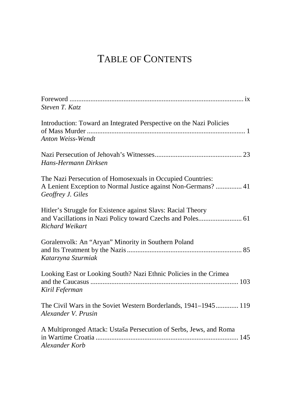### TABLE OF CONTENTS

| Steven T. Katz                                                                                                                                    |
|---------------------------------------------------------------------------------------------------------------------------------------------------|
| Introduction: Toward an Integrated Perspective on the Nazi Policies<br>Anton Weiss-Wendt                                                          |
| Hans-Hermann Dirksen                                                                                                                              |
| The Nazi Persecution of Homosexuals in Occupied Countries:<br>A Lenient Exception to Normal Justice against Non-Germans?  41<br>Geoffrey J. Giles |
| Hitler's Struggle for Existence against Slavs: Racial Theory<br>Richard Weikart                                                                   |
| Goralenvolk: An "Aryan" Minority in Southern Poland<br>Katarzyna Szurmiak                                                                         |
| Looking East or Looking South? Nazi Ethnic Policies in the Crimea<br>Kiril Feferman                                                               |
| The Civil Wars in the Soviet Western Borderlands, 1941–1945 119<br>Alexander V. Prusin                                                            |
| A Multipronged Attack: Ustaša Persecution of Serbs, Jews, and Roma<br>Alexander Korb                                                              |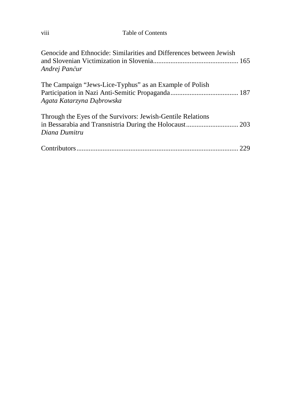| .<br>V111 | Table of Contents |
|-----------|-------------------|
|           |                   |

| Genocide and Ethnocide: Similarities and Differences between Jewish<br>Andrej Pančur |  |
|--------------------------------------------------------------------------------------|--|
| The Campaign "Jews-Lice-Typhus" as an Example of Polish<br>Agata Katarzyna Dąbrowska |  |
| Through the Eyes of the Survivors: Jewish-Gentile Relations<br>Diana Dumitru         |  |
|                                                                                      |  |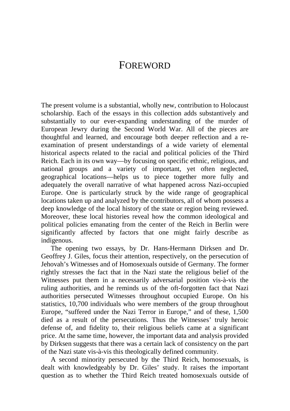#### FOREWORD

The present volume is a substantial, wholly new, contribution to Holocaust scholarship. Each of the essays in this collection adds substantively and substantially to our ever-expanding understanding of the murder of European Jewry during the Second World War. All of the pieces are thoughtful and learned, and encourage both deeper reflection and a reexamination of present understandings of a wide variety of elemental historical aspects related to the racial and political policies of the Third Reich. Each in its own way—by focusing on specific ethnic, religious, and national groups and a variety of important, yet often neglected, geographical locations—helps us to piece together more fully and adequately the overall narrative of what happened across Nazi-occupied Europe. One is particularly struck by the wide range of geographical locations taken up and analyzed by the contributors, all of whom possess a deep knowledge of the local history of the state or region being reviewed. Moreover, these local histories reveal how the common ideological and political policies emanating from the center of the Reich in Berlin were significantly affected by factors that one might fairly describe as indigenous.

The opening two essays, by Dr. Hans-Hermann Dirksen and Dr. Geoffrey J. Giles, focus their attention, respectively, on the persecution of Jehovah's Witnesses and of Homosexuals outside of Germany. The former rightly stresses the fact that in the Nazi state the religious belief of the Witnesses put them in a necessarily adversarial position vis-à-vis the ruling authorities, and he reminds us of the oft-forgotten fact that Nazi authorities persecuted Witnesses throughout occupied Europe. On his statistics, 10,700 individuals who were members of the group throughout Europe, "suffered under the Nazi Terror in Europe," and of these, 1,500 died as a result of the persecutions. Thus the Witnesses' truly heroic defense of, and fidelity to, their religious beliefs came at a significant price. At the same time, however, the important data and analysis provided by Dirksen suggests that there was a certain lack of consistency on the part of the Nazi state vis-à-vis this theologically defined community.

A second minority persecuted by the Third Reich, homosexuals, is dealt with knowledgeably by Dr. Giles' study. It raises the important question as to whether the Third Reich treated homosexuals outside of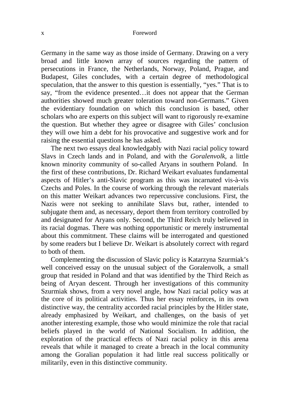#### x Foreword

Germany in the same way as those inside of Germany. Drawing on a very broad and little known array of sources regarding the pattern of persecutions in France, the Netherlands, Norway, Poland, Prague, and Budapest, Giles concludes, with a certain degree of methodological speculation, that the answer to this question is essentially, "yes." That is to say, "from the evidence presented…it does not appear that the German authorities showed much greater toleration toward non-Germans." Given the evidentiary foundation on which this conclusion is based, other scholars who are experts on this subject will want to rigorously re-examine the question. But whether they agree or disagree with Giles' conclusion they will owe him a debt for his provocative and suggestive work and for raising the essential questions he has asked.

The next two essays deal knowledgably with Nazi racial policy toward Slavs in Czech lands and in Poland, and with the *Goralenvolk*, a little known minority community of so-called Aryans in southern Poland. In the first of these contributions, Dr. Richard Weikart evaluates fundamental aspects of Hitler's anti-Slavic program as this was incarnated vis-à-vis Czechs and Poles. In the course of working through the relevant materials on this matter Weikart advances two repercussive conclusions. First, the Nazis were not seeking to annihilate Slavs but, rather, intended to subjugate them and, as necessary, deport them from territory controlled by and designated for Aryans only. Second, the Third Reich truly believed in its racial dogmas. There was nothing opportunistic or merely instrumental about this commitment. These claims will be interrogated and questioned by some readers but I believe Dr. Weikart is absolutely correct with regard to both of them.

Complementing the discussion of Slavic policy is Katarzyna Szurmiak's well conceived essay on the unusual subject of the Goralenvolk, a small group that resided in Poland and that was identified by the Third Reich as being of Aryan descent. Through her investigations of this community Szurmiak shows, from a very novel angle, how Nazi racial policy was at the core of its political activities. Thus her essay reinforces, in its own distinctive way, the centrality accorded racial principles by the Hitler state, already emphasized by Weikart, and challenges, on the basis of yet another interesting example, those who would minimize the role that racial beliefs played in the world of National Socialism. In addition, the exploration of the practical effects of Nazi racial policy in this arena reveals that while it managed to create a breach in the local community among the Goralian population it had little real success politically or militarily, even in this distinctive community.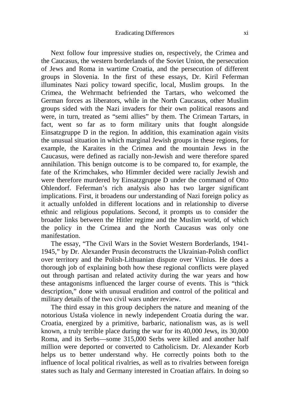Next follow four impressive studies on, respectively, the Crimea and the Caucasus, the western borderlands of the Soviet Union, the persecution of Jews and Roma in wartime Croatia, and the persecution of different groups in Slovenia. In the first of these essays, Dr. Kiril Feferman illuminates Nazi policy toward specific, local, Muslim groups. In the Crimea, the Wehrmacht befriended the Tartars, who welcomed the German forces as liberators, while in the North Caucasus, other Muslim groups sided with the Nazi invaders for their own political reasons and were, in turn, treated as "semi allies" by them. The Crimean Tartars, in fact, went so far as to form military units that fought alongside Einsatzgruppe D in the region. In addition, this examination again visits the unusual situation in which marginal Jewish groups in these regions, for example, the Karaites in the Crimea and the mountain Jews in the Caucasus, were defined as racially non-Jewish and were therefore spared annihilation. This benign outcome is to be compared to, for example, the fate of the Krimchakes, who Himmler decided were racially Jewish and were therefore murdered by Einsatzgruppe D under the command of Otto Ohlendorf. Feferman's rich analysis also has two larger significant implications. First, it broadens our understanding of Nazi foreign policy as it actually unfolded in different locations and in relationship to diverse ethnic and religious populations. Second, it prompts us to consider the broader links between the Hitler regime and the Muslim world, of which the policy in the Crimea and the North Caucasus was only one manifestation.

The essay, "The Civil Wars in the Soviet Western Borderlands, 1941- 1945," by Dr. Alexander Prusin deconstructs the Ukrainian-Polish conflict over territory and the Polish-Lithuanian dispute over Vilnius. He does a thorough job of explaining both how these regional conflicts were played out through partisan and related activity during the war years and how these antagonisms influenced the larger course of events. This is "thick description," done with unusual erudition and control of the political and military details of the two civil wars under review.

The third essay in this group deciphers the nature and meaning of the notorious Ustaša violence in newly independent Croatia during the war. Croatia, energized by a primitive, barbaric, nationalism was, as is well known, a truly terrible place during the war for its 40,000 Jews, its 30,000 Roma, and its Serbs—some 315,000 Serbs were killed and another half million were deported or converted to Catholicism. Dr. Alexander Korb helps us to better understand why. He correctly points both to the influence of local political rivalries, as well as to rivalries between foreign states such as Italy and Germany interested in Croatian affairs. In doing so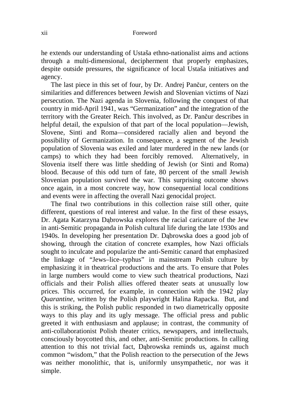he extends our understanding of Ustaša ethno-nationalist aims and actions through a multi-dimensional, decipherment that properly emphasizes, despite outside pressures, the significance of local Ustaša initiatives and agency.

The last piece in this set of four, by Dr. Andrej Pančur, centers on the similarities and differences between Jewish and Slovenian victims of Nazi persecution. The Nazi agenda in Slovenia, following the conquest of that country in mid-April 1941, was "Germanization" and the integration of the territory with the Greater Reich. This involved, as Dr. Pančur describes in helpful detail, the expulsion of that part of the local population—Jewish, Slovene, Sinti and Roma—considered racially alien and beyond the possibility of Germanization. In consequence, a segment of the Jewish population of Slovenia was exiled and later murdered in the new lands (or camps) to which they had been forcibly removed. Alternatively, in Slovenia itself there was little shedding of Jewish (or Sinti and Roma) blood. Because of this odd turn of fate, 80 percent of the small Jewish Slovenian population survived the war. This surprising outcome shows once again, in a most concrete way, how consequential local conditions and events were in affecting the overall Nazi genocidal project.

The final two contributions in this collection raise still other, quite different, questions of real interest and value. In the first of these essays, Dr. Agata Katarzyna Dąbrowska explores the racial caricature of the Jew in anti-Semitic propaganda in Polish cultural life during the late 1930s and 1940s. In developing her presentation Dr. Dąbrowska does a good job of showing, through the citation of concrete examples, how Nazi officials sought to inculcate and popularize the anti-Semitic canard that emphasized the linkage of "Jews–lice–typhus" in mainstream Polish culture by emphasizing it in theatrical productions and the arts. To ensure that Poles in large numbers would come to view such theatrical productions, Nazi officials and their Polish allies offered theater seats at unusually low prices. This occurred, for example, in connection with the 1942 play *Quarantine*, written by the Polish playwright Halina Rapacka. But, and this is striking, the Polish public responded in two diametrically opposite ways to this play and its ugly message. The official press and public greeted it with enthusiasm and applause; in contrast, the community of anti-collaborationist Polish theater critics, newspapers, and intellectuals, consciously boycotted this, and other, anti-Semitic productions. In calling attention to this not trivial fact, Dąbrowska reminds us, against much common "wisdom," that the Polish reaction to the persecution of the Jews was neither monolithic, that is, uniformly unsympathetic, nor was it simple.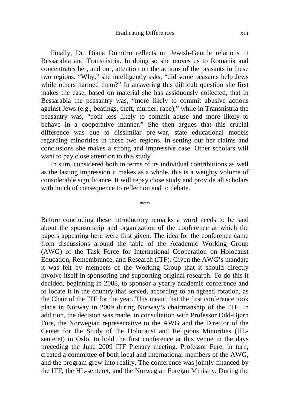Finally, Dr. Diana Dumitru reflects on Jewish-Gentile relations in Bessarabia and Transnistria. In doing so she moves us to Romania and concentrates her, and our, attention on the actions of the peasants in these two regions. "Why," she intelligently asks, "did some peasants help Jews while others harmed them?" In answering this difficult question she first makes the case, based on material she has assiduously collected, that in Bessarabia the peasantry was, "more likely to commit abusive actions against Jews (e.g., beatings, theft, murder, rape)," while in Transnistria the peasantry was, "both less likely to commit abuse and more likely to behave in a cooperative manner." She then argues that this crucial difference was due to dissimilar pre-war, state educational models regarding minorities in these two regions. In setting out her claims and conclusions she makes a strong and impressive case. Other scholars will want to pay close attention to this study

In sum, considered both in terms of its individual contributions as well as the lasting impression it makes as a whole, this is a weighty volume of considerable significance. It will repay close study and provide all scholars with much of consequence to reflect on and to debate.

\*\*\*

Before concluding these introductory remarks a word needs to be said about the sponsorship and organization of the conference at which the papers appearing here were first given. The idea for the conference came from discussions around the table of the Academic Working Group (AWG) of the Task Force for International Cooperation on Holocaust Education, Remembrance, and Research (ITF)*.* Given the AWG's mandate it was felt by members of the Working Group that it should directly involve itself in sponsoring and supporting original research. To do this it decided, beginning in 2008, to sponsor a yearly academic conference and to locate it in the country that served, according to an agreed rotation, as the Chair of the ITF for the year. This meant that the first conference took place in Norway in 2009 during Norway's chairmanship of the ITF. In addition, the decision was made, in consultation with Professor Odd-Bjørn Fure, the Norwegian representative to the AWG and the Director of the Center for the Study of the Holocaust and Religious Minorities (HLsenteret) in Oslo, to hold the first conference at this venue in the days preceding the June 2009 ITF Plenary meeting. Professor Fure, in turn, created a committee of both local and international members of the AWG, and the program grew into reality. The conference was jointly financed by the ITF, the HL-senteret, and the Norwegian Foreign Ministry. During the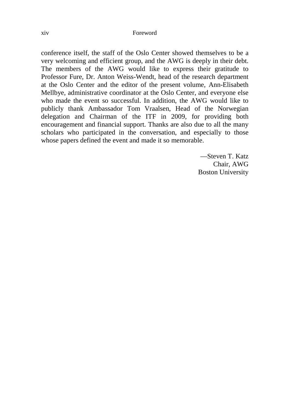conference itself, the staff of the Oslo Center showed themselves to be a very welcoming and efficient group, and the AWG is deeply in their debt. The members of the AWG would like to express their gratitude to Professor Fure, Dr. Anton Weiss-Wendt, head of the research department at the Oslo Center and the editor of the present volume, Ann-Elisabeth Mellbye, administrative coordinator at the Oslo Center, and everyone else who made the event so successful. In addition, the AWG would like to publicly thank Ambassador Tom Vraalsen, Head of the Norwegian delegation and Chairman of the ITF in 2009, for providing both encouragement and financial support. Thanks are also due to all the many scholars who participated in the conversation, and especially to those whose papers defined the event and made it so memorable.

> —Steven T. Katz Chair, AWG Boston University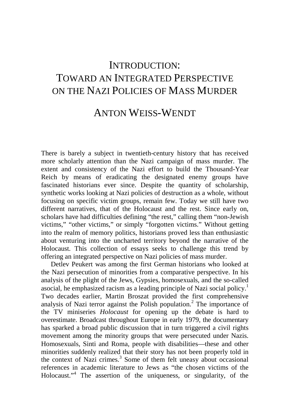### INTRODUCTION: TOWARD AN INTEGRATED PERSPECTIVE ON THE NAZI POLICIES OF MASS MURDER

### ANTON WEISS-WENDT

There is barely a subject in twentieth-century history that has received more scholarly attention than the Nazi campaign of mass murder. The extent and consistency of the Nazi effort to build the Thousand-Year Reich by means of eradicating the designated enemy groups have fascinated historians ever since. Despite the quantity of scholarship, synthetic works looking at Nazi policies of destruction as a whole, without focusing on specific victim groups, remain few. Today we still have two different narratives, that of the Holocaust and the rest. Since early on, scholars have had difficulties defining "the rest," calling them "non-Jewish victims," "other victims," or simply "forgotten victims." Without getting into the realm of memory politics, historians proved less than enthusiastic about venturing into the uncharted territory beyond the narrative of the Holocaust. This collection of essays seeks to challenge this trend by offering an integrated perspective on Nazi policies of mass murder.

Detlev Peukert was among the first German historians who looked at the Nazi persecution of minorities from a comparative perspective. In his analysis of the plight of the Jews, Gypsies, homosexuals, and the so-called asocial, he emphasized racism as a leading principle of Nazi social policy.<sup>1</sup> Two decades earlier, Martin Broszat provided the first comprehensive analysis of Nazi terror against the Polish population.<sup>2</sup> The importance of the TV miniseries *Holocaust* for opening up the debate is hard to overestimate. Broadcast throughout Europe in early 1979, the documentary has sparked a broad public discussion that in turn triggered a civil rights movement among the minority groups that were persecuted under Nazis. Homosexuals, Sinti and Roma, people with disabilities—these and other minorities suddenly realized that their story has not been properly told in the context of Nazi crimes.<sup>3</sup> Some of them felt uneasy about occasional references in academic literature to Jews as "the chosen victims of the Holocaust."<sup>4</sup> The assertion of the uniqueness, or singularity, of the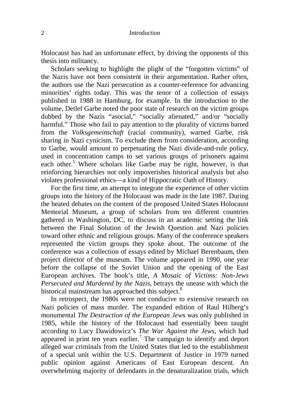#### 2 Introduction

Holocaust has had an unfortunate effect, by driving the opponents of this thesis into militancy.

Scholars seeking to highlight the plight of the "forgotten victims" of the Nazis have not been consistent in their argumentation. Rather often, the authors use the Nazi persecution as a counter-reference for advancing minorities' rights today. This was the tenor of a collection of essays published in 1988 in Hamburg, for example. In the introduction to the volume, Detlef Garbe noted the poor state of research on the victim groups dubbed by the Nazis "asocial," "socially alienated," and/or "socially harmful." Those who fail to pay attention to the plurality of victims barred from the *Volksgemeinschaft* (racial community), warned Garbe, risk sharing in Nazi cynicism. To exclude them from consideration, according to Garbe, would amount to perpetuating the Nazi divide-and-rule policy, used in concentration camps to set various groups of prisoners against each other.<sup>5</sup> Where scholars like Garbe may be right, however, is that reinforcing hierarchies not only impoverishes historical analysis but also violates professional ethics—a kind of Hippocratic Oath of History.

For the first time, an attempt to integrate the experience of other victim groups into the history of the Holocaust was made in the late 1987. During the heated debates on the content of the proposed United States Holocaust Memorial Museum, a group of scholars from ten different countries gathered in Washington, DC, to discuss in an academic setting the link between the Final Solution of the Jewish Question and Nazi policies toward other ethnic and religious groups. Many of the conference speakers represented the victim groups they spoke about. The outcome of the conference was a collection of essays edited by Michael Berenbaum, then project director of the museum. The volume appeared in 1990, one year before the collapse of the Soviet Union and the opening of the East European archives. The book's title, *A Mosaic of Victims: Non-Jews Persecuted and Murdered by the Nazis*, betrays the unease with which the historical mainstream has approached this subject.<sup>6</sup>

In retrospect, the 1980s were not conducive to extensive research on Nazi policies of mass murder. The expanded edition of Raul Hilberg's monumental *The Destruction of the European Jews* was only published in 1985, while the history of the Holocaust had essentially been taught according to Lucy Dawidowicz's *The War Against the Jews*, which had appeared in print ten years earlier.<sup>7</sup> The campaign to identify and deport alleged war criminals from the United States that led to the establishment of a special unit within the U.S. Department of Justice in 1979 turned public opinion against Americans of East European descent. An overwhelming majority of defendants in the denaturalization trials, which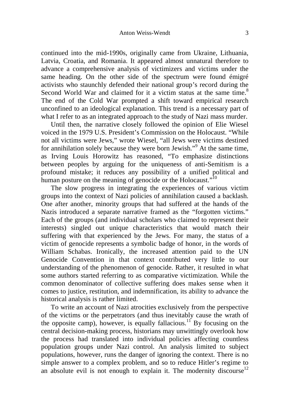continued into the mid-1990s, originally came from Ukraine, Lithuania, Latvia, Croatia, and Romania. It appeared almost unnatural therefore to advance a comprehensive analysis of victimizers and victims under the same heading. On the other side of the spectrum were found émigré activists who staunchly defended their national group's record during the Second World War and claimed for it a victim status at the same time.<sup>8</sup> The end of the Cold War prompted a shift toward empirical research unconfined to an ideological explanation. This trend is a necessary part of what I refer to as an integrated approach to the study of Nazi mass murder.

Until then, the narrative closely followed the opinion of Elie Wiesel voiced in the 1979 U.S. President's Commission on the Holocaust. "While not all victims were Jews," wrote Wiesel, "all Jews were victims destined for annihilation solely because they were born Jewish."<sup>9</sup> At the same time, as Irving Louis Horowitz has reasoned, "To emphasize distinctions between peoples by arguing for the uniqueness of anti-Semitism is a profound mistake; it reduces any possibility of a unified political and human posture on the meaning of genocide or the Holocaust."<sup>10</sup>

The slow progress in integrating the experiences of various victim groups into the context of Nazi policies of annihilation caused a backlash. One after another, minority groups that had suffered at the hands of the Nazis introduced a separate narrative framed as the "forgotten victims." Each of the groups (and individual scholars who claimed to represent their interests) singled out unique characteristics that would match their suffering with that experienced by the Jews. For many, the status of a victim of genocide represents a symbolic badge of honor, in the words of William Schabas. Ironically, the increased attention paid to the UN Genocide Convention in that context contributed very little to our understanding of the phenomenon of genocide. Rather, it resulted in what some authors started referring to as comparative victimization. While the common denominator of collective suffering does makes sense when it comes to justice, restitution, and indemnification, its ability to advance the historical analysis is rather limited.

To write an account of Nazi atrocities exclusively from the perspective of the victims or the perpetrators (and thus inevitably cause the wrath of the opposite camp), however, is equally fallacious.<sup>11</sup> By focusing on the central decision-making process, historians may unwittingly overlook how the process had translated into individual policies affecting countless population groups under Nazi control. An analysis limited to subject populations, however, runs the danger of ignoring the context. There is no simple answer to a complex problem, and so to reduce Hitler's regime to an absolute evil is not enough to explain it. The modernity discourse<sup>12</sup>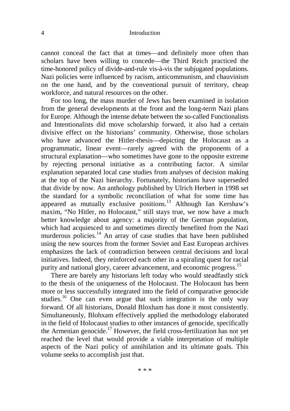#### 4 Introduction

cannot conceal the fact that at times—and definitely more often than scholars have been willing to concede—the Third Reich practiced the time-honored policy of divide-and-rule vis-à-vis the subjugated populations. Nazi policies were influenced by racism, anticommunism, and chauvinism on the one hand, and by the conventional pursuit of territory, cheap workforce, and natural resources on the other.

For too long, the mass murder of Jews has been examined in isolation from the general developments at the front and the long-term Nazi plans for Europe. Although the intense debate between the so-called Functionalists and Intentionalists did move scholarship forward, it also had a certain divisive effect on the historians' community. Otherwise, those scholars who have advanced the Hitler-thesis—depicting the Holocaust as a programmatic, linear event—rarely agreed with the proponents of a structural explanation—who sometimes have gone to the opposite extreme by rejecting personal initiative as a contributing factor. A similar explanation separated local case studies from analyses of decision making at the top of the Nazi hierarchy. Fortunately, historians have superseded that divide by now. An anthology published by Ulrich Herbert in 1998 set the standard for a symbolic reconciliation of what for some time has appeared as mutually exclusive positions.<sup>13</sup> Although Ian Kershaw's maxim, "No Hitler, no Holocaust," still stays true, we now have a much better knowledge about agency: a majority of the German population, which had acquiesced to and sometimes directly benefited from the Nazi murderous policies. $14$  An array of case studies that have been published using the new sources from the former Soviet and East European archives emphasizes the lack of contradiction between central decisions and local initiatives. Indeed, they reinforced each other in a spiraling quest for racial purity and national glory, career advancement, and economic progress.<sup>15</sup>

There are barely any historians left today who would steadfastly stick to the thesis of the uniqueness of the Holocaust. The Holocaust has been more or less successfully integrated into the field of comparative genocide studies.<sup>16</sup> One can even argue that such integration is the only way forward. Of all historians, Donald Bloxham has done it most consistently. Simultaneously, Blohxam effectively applied the methodology elaborated in the field of Holocaust studies to other instances of genocide, specifically the Armenian genocide.<sup>17</sup> However, the field cross-fertilization has not yet reached the level that would provide a viable interpretation of multiple aspects of the Nazi policy of annihilation and its ultimate goals. This volume seeks to accomplish just that.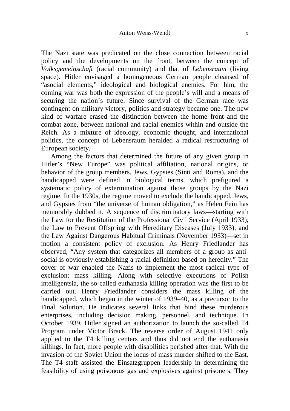The Nazi state was predicated on the close connection between racial policy and the developments on the front, between the concept of *Volksgemeinschaft* (racial community) and that of *Lebensraum* (living space). Hitler envisaged a homogeneous German people cleansed of "asocial elements," ideological and biological enemies. For him, the coming war was both the expression of the people's will and a means of securing the nation's future. Since survival of the German race was contingent on military victory, politics and strategy became one. The new kind of warfare erased the distinction between the home front and the combat zone, between national and racial enemies within and outside the Reich. As a mixture of ideology, economic thought, and international politics, the concept of Lebensraum heralded a radical restructuring of European society.

Among the factors that determined the future of any given group in Hitler's "New Europe" was political affiliation, national origins, or behavior of the group members. Jews, Gypsies (Sinti and Roma), and the handicapped were defined in biological terms, which prefigured a systematic policy of extermination against those groups by the Nazi regime. In the 1930s, the regime moved to exclude the handicapped, Jews, and Gypsies from "the universe of human obligation," as Helen Fein has memorably dubbed it. A sequence of discriminatory laws—starting with the Law for the Restitution of the Professional Civil Service (April 1933), the Law to Prevent Offspring with Hereditary Diseases (July 1933), and the Law Against Dangerous Habitual Criminals (November 1933)—set in motion a consistent policy of exclusion. As Henry Friedlander has observed, "Any system that categorizes all members of a group as antisocial is obviously establishing a racial definition based on heredity." The cover of war enabled the Nazis to implement the most radical type of exclusion: mass killing. Along with selective executions of Polish intelligentsia, the so-called euthanasia killing operation was the first to be carried out. Henry Friedlander considers the mass killing of the handicapped, which began in the winter of 1939–40, as a precursor to the Final Solution. He indicates several links that bind these murderous enterprises, including decision making, personnel, and technique. In October 1939, Hitler signed an authorization to launch the so-called T4 Program under Victor Brack. The reverse order of August 1941 only applied to the T4 killing centers and thus did not end the euthanasia killings. In fact, more people with disabilities perished after that. With the invasion of the Soviet Union the locus of mass murder shifted to the East. The T4 staff assisted the Einsatzgruppen leadership in determining the feasibility of using poisonous gas and explosives against prisoners. They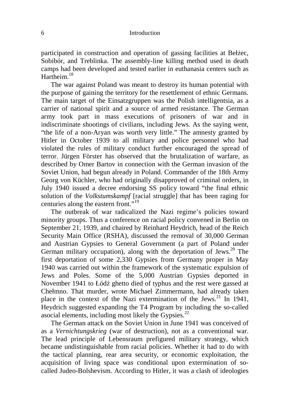participated in construction and operation of gassing facilities at Bełżec, Sobibór, and Treblinka. The assembly-line killing method used in death camps had been developed and tested earlier in euthanasia centers such as Hartheim.<sup>18</sup>

The war against Poland was meant to destroy its human potential with the purpose of gaining the territory for the resettlement of ethnic Germans. The main target of the Einsatzgruppen was the Polish intelligentsia, as a carrier of national spirit and a source of armed resistance. The German army took part in mass executions of prisoners of war and in indiscriminate shootings of civilians, including Jews. As the saying went, "the life of a non-Aryan was worth very little." The amnesty granted by Hitler in October 1939 to all military and police personnel who had violated the rules of military conduct further encouraged the spread of terror. Jürgen Förster has observed that the brutalization of warfare, as described by Omer Bartov in connection with the German invasion of the Soviet Union, had begun already in Poland. Commander of the 18th Army Georg von Küchler, who had originally disapproved of criminal orders, in July 1940 issued a decree endorsing SS policy toward "the final ethnic solution of the *Volkstumskampf* [racial struggle] that has been raging for centuries along the eastern front."<sup>19</sup>

The outbreak of war radicalized the Nazi regime's policies toward minority groups. Thus a conference on racial policy convened in Berlin on September 21, 1939, and chaired by Reinhard Heydrich, head of the Reich Security Main Office (RSHA), discussed the removal of 30,000 German and Austrian Gypsies to General Government (a part of Poland under German military occupation), along with the deportation of Jews. $^{20}$  The first deportation of some 2,330 Gypsies from Germany proper in May 1940 was carried out within the framework of the systematic expulsion of Jews and Poles. Some of the 5,000 Austrian Gypsies deported in November 1941 to Łódź ghetto died of typhus and the rest were gassed at Chełmno. That murder, wrote Michael Zimmermann, had already taken place in the context of the Nazi extermination of the Jews.<sup>21</sup> In 1941, Heydrich suggested expanding the T4 Program by including the so-called asocial elements, including most likely the Gypsies.<sup>22</sup>

The German attack on the Soviet Union in June 1941 was conceived of as a *Vernichtungskrieg* (war of destruction), not as a conventional war. The lead principle of Lebensraum prefigured military strategy, which became undistinguishable from racial policies. Whether it had to do with the tactical planning, rear area security, or economic exploitation, the acquisition of living space was conditional upon extermination of socalled Judeo-Bolshevism. According to Hitler, it was a clash of ideologies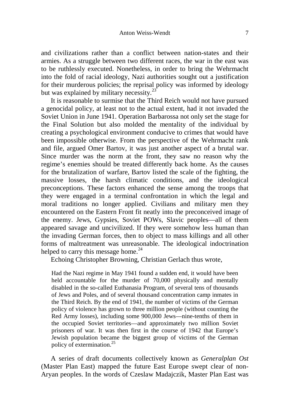and civilizations rather than a conflict between nation-states and their armies. As a struggle between two different races, the war in the east was to be ruthlessly executed. Nonetheless, in order to bring the Wehrmacht into the fold of racial ideology, Nazi authorities sought out a justification for their murderous policies; the reprisal policy was informed by ideology but was explained by military necessity.<sup>23</sup>

It is reasonable to surmise that the Third Reich would not have pursued a genocidal policy, at least not to the actual extent, had it not invaded the Soviet Union in June 1941. Operation Barbarossa not only set the stage for the Final Solution but also molded the mentality of the individual by creating a psychological environment conducive to crimes that would have been impossible otherwise. From the perspective of the Wehrmacht rank and file, argued Omer Bartov, it was just another aspect of a brutal war. Since murder was the norm at the front, they saw no reason why the regime's enemies should be treated differently back home. As the causes for the brutalization of warfare, Bartov listed the scale of the fighting, the massive losses, the harsh climatic conditions, and the ideological preconceptions. These factors enhanced the sense among the troops that they were engaged in a terminal confrontation in which the legal and moral traditions no longer applied. Civilians and military men they encountered on the Eastern Front fit neatly into the preconceived image of the enemy. Jews, Gypsies, Soviet POWs, Slavic peoples—all of them appeared savage and uncivilized. If they were somehow less human than the invading German forces, then to object to mass killings and all other forms of maltreatment was unreasonable. The ideological indoctrination helped to carry this message home. $^{24}$ 

Echoing Christopher Browning, Christian Gerlach thus wrote,

Had the Nazi regime in May 1941 found a sudden end, it would have been held accountable for the murder of 70,000 physically and mentally disabled in the so-called Euthanasia Program, of several tens of thousands of Jews and Poles, and of several thousand concentration camp inmates in the Third Reich. By the end of 1941, the number of victims of the German policy of violence has grown to three million people (without counting the Red Army losses), including some 900,000 Jews—nine-tenths of them in the occupied Soviet territories—and approximately two million Soviet prisoners of war. It was then first in the course of 1942 that Europe's Jewish population became the biggest group of victims of the German policy of extermination.<sup>25</sup>

A series of draft documents collectively known as *Generalplan Ost*  (Master Plan East) mapped the future East Europe swept clear of non-Aryan peoples. In the words of Czeslaw Madajczik, Master Plan East was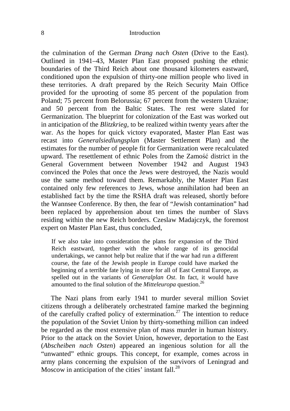#### 8 Introduction

the culmination of the German *Drang nach Osten* (Drive to the East). Outlined in 1941–43, Master Plan East proposed pushing the ethnic boundaries of the Third Reich about one thousand kilometers eastward, conditioned upon the expulsion of thirty-one million people who lived in these territories. A draft prepared by the Reich Security Main Office provided for the uprooting of some 85 percent of the population from Poland; 75 percent from Belorussia; 67 percent from the western Ukraine; and 50 percent from the Baltic States. The rest were slated for Germanization. The blueprint for colonization of the East was worked out in anticipation of the *Blitzkrieg,* to be realized within twenty years after the war. As the hopes for quick victory evaporated, Master Plan East was recast into *Generalsiedlungsplan* (Master Settlement Plan) and the estimates for the number of people fit for Germanization were recalculated upward. The resettlement of ethnic Poles from the Zamość district in the General Government between November 1942 and August 1943 convinced the Poles that once the Jews were destroyed, the Nazis would use the same method toward them. Remarkably, the Master Plan East contained only few references to Jews, whose annihilation had been an established fact by the time the RSHA draft was released, shortly before the Wannsee Conference. By then, the fear of "Jewish contamination" had been replaced by apprehension about ten times the number of Slavs residing within the new Reich borders. Czeslaw Madajczyk, the foremost expert on Master Plan East, thus concluded,

If we also take into consideration the plans for expansion of the Third Reich eastward, together with the whole range of its genocidal undertakings, we cannot help but realize that if the war had run a different course, the fate of the Jewish people in Europe could have marked the beginning of a terrible fate lying in store for all of East Central Europe, as spelled out in the variants of *Generalplan Ost*. In fact, it would have amounted to the final solution of the *Mitteleuropa* question.<sup>26</sup>

The Nazi plans from early 1941 to murder several million Soviet citizens through a deliberately orchestrated famine marked the beginning of the carefully crafted policy of extermination.<sup>27</sup> The intention to reduce the population of the Soviet Union by thirty-something million can indeed be regarded as the most extensive plan of mass murder in human history. Prior to the attack on the Soviet Union, however, deportation to the East (*Abscheiben nach Osten*) appeared an ingenious solution for all the "unwanted" ethnic groups. This concept, for example, comes across in army plans concerning the expulsion of the survivors of Leningrad and Moscow in anticipation of the cities' instant fall.<sup>28</sup>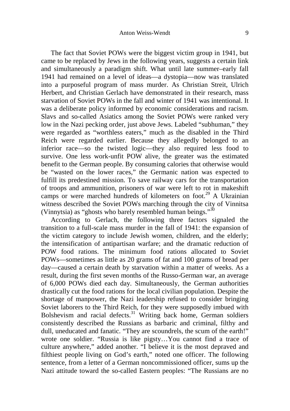The fact that Soviet POWs were the biggest victim group in 1941, but came to be replaced by Jews in the following years, suggests a certain link and simultaneously a paradigm shift. What until late summer–early fall 1941 had remained on a level of ideas—a dystopia—now was translated into a purposeful program of mass murder. As Christian Streit, Ulrich Herbert, and Christian Gerlach have demonstrated in their research, mass starvation of Soviet POWs in the fall and winter of 1941 was intentional. It was a deliberate policy informed by economic considerations and racism. Slavs and so-called Asiatics among the Soviet POWs were ranked very low in the Nazi pecking order, just above Jews. Labeled "subhuman," they were regarded as "worthless eaters," much as the disabled in the Third Reich were regarded earlier. Because they allegedly belonged to an inferior race—so the twisted logic—they also required less food to survive. One less work-unfit POW alive, the greater was the estimated benefit to the German people. By consuming calories that otherwise would be "wasted on the lower races," the Germanic nation was expected to fulfill its predestined mission. To save railway cars for the transportation of troops and ammunition, prisoners of war were left to rot in makeshift camps or were marched hundreds of kilometers on foot.<sup>29</sup> A Ukrainian witness described the Soviet POWs marching through the city of Vinnitsa (Vinnytsia) as "ghosts who barely resembled human beings."<sup>30</sup>

According to Gerlach, the following three factors signaled the transition to a full-scale mass murder in the fall of 1941: the expansion of the victim category to include Jewish women, children, and the elderly; the intensification of antipartisan warfare; and the dramatic reduction of POW food rations. The minimum food rations allocated to Soviet POWs—sometimes as little as 20 grams of fat and 100 grams of bread per day—caused a certain death by starvation within a matter of weeks. As a result, during the first seven months of the Russo-German war, an average of 6,000 POWs died each day. Simultaneously, the German authorities drastically cut the food rations for the local civilian population. Despite the shortage of manpower, the Nazi leadership refused to consider bringing Soviet laborers to the Third Reich, for they were supposedly imbued with Bolshevism and racial defects.<sup>31</sup> Writing back home, German soldiers consistently described the Russians as barbaric and criminal, filthy and dull, uneducated and fanatic. "They are scoundrels, the scum of the earth!" wrote one soldier. "Russia is like pigsty…You cannot find a trace of culture anywhere," added another. "I believe it is the most depraved and filthiest people living on God's earth," noted one officer. The following sentence, from a letter of a German noncommissioned officer, sums up the Nazi attitude toward the so-called Eastern peoples: "The Russians are no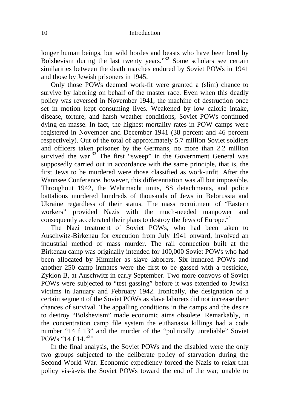longer human beings, but wild hordes and beasts who have been bred by Bolshevism during the last twenty years."<sup>32</sup> Some scholars see certain similarities between the death marches endured by Soviet POWs in 1941 and those by Jewish prisoners in 1945.

Only those POWs deemed work-fit were granted a (slim) chance to survive by laboring on behalf of the master race. Even when this deadly policy was reversed in November 1941, the machine of destruction once set in motion kept consuming lives. Weakened by low calorie intake, disease, torture, and harsh weather conditions, Soviet POWs continued dying en masse. In fact, the highest mortality rates in POW camps were registered in November and December 1941 (38 percent and 46 percent respectively). Out of the total of approximately 5.7 million Soviet soldiers and officers taken prisoner by the Germans, no more than 2.2 million survived the war. $33$  The first "sweep" in the Government General was supposedly carried out in accordance with the same principle, that is, the first Jews to be murdered were those classified as work-unfit. After the Wannsee Conference, however, this differentiation was all but impossible. Throughout 1942, the Wehrmacht units, SS detachments, and police battalions murdered hundreds of thousands of Jews in Belorussia and Ukraine regardless of their status. The mass recruitment of "Eastern workers" provided Nazis with the much-needed manpower and consequently accelerated their plans to destroy the Jews of Europe.<sup>34</sup>

The Nazi treatment of Soviet POWs, who had been taken to Auschwitz-Birkenau for execution from July 1941 onward, involved an industrial method of mass murder. The rail connection built at the Birkenau camp was originally intended for 100,000 Soviet POWs who had been allocated by Himmler as slave laborers. Six hundred POWs and another 250 camp inmates were the first to be gassed with a pesticide, Zyklon B, at Auschwitz in early September. Two more convoys of Soviet POWs were subjected to "test gassing" before it was extended to Jewish victims in January and February 1942. Ironically, the designation of a certain segment of the Soviet POWs as slave laborers did not increase their chances of survival. The appalling conditions in the camps and the desire to destroy "Bolshevism" made economic aims obsolete. Remarkably, in the concentration camp file system the euthanasia killings had a code number "14 f 13" and the murder of the "politically unreliable" Soviet POWs "14  $f$  14."<sup>35</sup>

In the final analysis, the Soviet POWs and the disabled were the only two groups subjected to the deliberate policy of starvation during the Second World War. Economic expediency forced the Nazis to relax that policy vis-à-vis the Soviet POWs toward the end of the war; unable to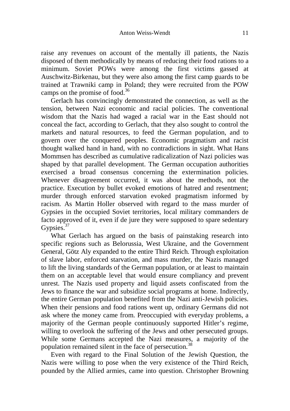raise any revenues on account of the mentally ill patients, the Nazis disposed of them methodically by means of reducing their food rations to a minimum. Soviet POWs were among the first victims gassed at Auschwitz-Birkenau, but they were also among the first camp guards to be trained at Trawniki camp in Poland; they were recruited from the POW camps on the promise of food.<sup>36</sup>

Gerlach has convincingly demonstrated the connection, as well as the tension, between Nazi economic and racial policies. The conventional wisdom that the Nazis had waged a racial war in the East should not conceal the fact, according to Gerlach, that they also sought to control the markets and natural resources, to feed the German population, and to govern over the conquered peoples. Economic pragmatism and racist thought walked hand in hand, with no contradictions in sight. What Hans Mommsen has described as cumulative radicalization of Nazi policies was shaped by that parallel development. The German occupation authorities exercised a broad consensus concerning the extermination policies. Whenever disagreement occurred, it was about the methods, not the practice. Execution by bullet evoked emotions of hatred and resentment; murder through enforced starvation evoked pragmatism informed by racism. As Martin Holler observed with regard to the mass murder of Gypsies in the occupied Soviet territories, local military commanders de facto approved of it, even if de jure they were supposed to spare sedentary Gypsies.<sup>37</sup>

What Gerlach has argued on the basis of painstaking research into specific regions such as Belorussia, West Ukraine, and the Government General, Götz Aly expanded to the entire Third Reich. Through exploitation of slave labor, enforced starvation, and mass murder, the Nazis managed to lift the living standards of the German population, or at least to maintain them on an acceptable level that would ensure compliancy and prevent unrest. The Nazis used property and liquid assets confiscated from the Jews to finance the war and subsidize social programs at home. Indirectly, the entire German population benefited from the Nazi anti-Jewish policies. When their pensions and food rations went up, ordinary Germans did not ask where the money came from. Preoccupied with everyday problems, a majority of the German people continuously supported Hitler's regime, willing to overlook the suffering of the Jews and other persecuted groups. While some Germans accepted the Nazi measures, a majority of the population remained silent in the face of persecution.<sup>38</sup>

Even with regard to the Final Solution of the Jewish Question, the Nazis were willing to pose when the very existence of the Third Reich, pounded by the Allied armies, came into question. Christopher Browning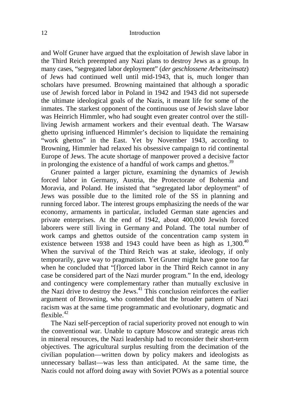and Wolf Gruner have argued that the exploitation of Jewish slave labor in the Third Reich preempted any Nazi plans to destroy Jews as a group. In many cases, "segregated labor deployment" (*der geschlossene Arbeitseinsatz*) of Jews had continued well until mid-1943, that is, much longer than scholars have presumed. Browning maintained that although a sporadic use of Jewish forced labor in Poland in 1942 and 1943 did not supersede the ultimate ideological goals of the Nazis, it meant life for some of the inmates. The starkest opponent of the continuous use of Jewish slave labor was Heinrich Himmler, who had sought even greater control over the stillliving Jewish armament workers and their eventual death. The Warsaw ghetto uprising influenced Himmler's decision to liquidate the remaining "work ghettos" in the East. Yet by November 1943, according to Browning, Himmler had relaxed his obsessive campaign to rid continental Europe of Jews. The acute shortage of manpower proved a decisive factor in prolonging the existence of a handful of work camps and ghettos.<sup>39</sup>

Gruner painted a larger picture, examining the dynamics of Jewish forced labor in Germany, Austria, the Protectorate of Bohemia and Moravia, and Poland. He insisted that "segregated labor deployment" of Jews was possible due to the limited role of the SS in planning and running forced labor. The interest groups emphasizing the needs of the war economy, armaments in particular, included German state agencies and private enterprises. At the end of 1942, about 400,000 Jewish forced laborers were still living in Germany and Poland. The total number of work camps and ghettos outside of the concentration camp system in existence between 1938 and 1943 could have been as high as 1,300.<sup>40</sup> When the survival of the Third Reich was at stake, ideology, if only temporarily, gave way to pragmatism. Yet Gruner might have gone too far when he concluded that "[f]orced labor in the Third Reich cannot in any case be considered part of the Nazi murder program." In the end, ideology and contingency were complementary rather than mutually exclusive in the Nazi drive to destroy the Jews.<sup>41</sup> This conclusion reinforces the earlier argument of Browning, who contended that the broader pattern of Nazi racism was at the same time programmatic and evolutionary, dogmatic and flexible. $42$ 

The Nazi self-perception of racial superiority proved not enough to win the conventional war. Unable to capture Moscow and strategic areas rich in mineral resources, the Nazi leadership had to reconsider their short-term objectives. The agricultural surplus resulting from the decimation of the civilian population—written down by policy makers and ideologists as unnecessary ballast—was less than anticipated. At the same time, the Nazis could not afford doing away with Soviet POWs as a potential source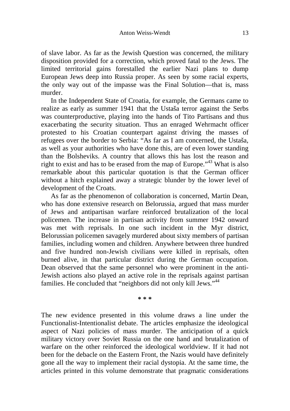of slave labor. As far as the Jewish Question was concerned, the military disposition provided for a correction, which proved fatal to the Jews. The limited territorial gains forestalled the earlier Nazi plans to dump European Jews deep into Russia proper. As seen by some racial experts, the only way out of the impasse was the Final Solution—that is, mass murder.

In the Independent State of Croatia, for example, the Germans came to realize as early as summer 1941 that the Ustaša terror against the Serbs was counterproductive, playing into the hands of Tito Partisans and thus exacerbating the security situation. Thus an enraged Wehrmacht officer protested to his Croatian counterpart against driving the masses of refugees over the border to Serbia: "As far as I am concerned, the Ustaša, as well as your authorities who have done this, are of even lower standing than the Bolsheviks. A country that allows this has lost the reason and right to exist and has to be erased from the map of Europe."<sup>43</sup> What is also remarkable about this particular quotation is that the German officer without a hitch explained away a strategic blunder by the lower level of development of the Croats.

As far as the phenomenon of collaboration is concerned, Martin Dean, who has done extensive research on Belorussia, argued that mass murder of Jews and antipartisan warfare reinforced brutalization of the local policemen. The increase in partisan activity from summer 1942 onward was met with reprisals. In one such incident in the Myr district, Belorussian policemen savagely murdered about sixty members of partisan families, including women and children. Anywhere between three hundred and five hundred non-Jewish civilians were killed in reprisals, often burned alive, in that particular district during the German occupation. Dean observed that the same personnel who were prominent in the anti-Jewish actions also played an active role in the reprisals against partisan families. He concluded that "neighbors did not only kill Jews."<sup>44</sup>

**\* \* \*** 

The new evidence presented in this volume draws a line under the Functionalist-Intentionalist debate. The articles emphasize the ideological aspect of Nazi policies of mass murder. The anticipation of a quick military victory over Soviet Russia on the one hand and brutalization of warfare on the other reinforced the ideological worldview. If it had not been for the debacle on the Eastern Front, the Nazis would have definitely gone all the way to implement their racial dystopia. At the same time, the articles printed in this volume demonstrate that pragmatic considerations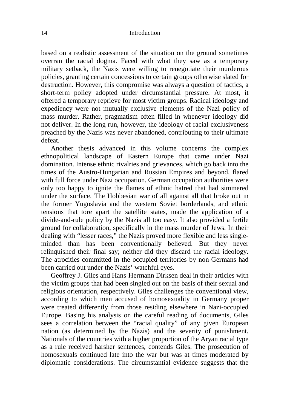based on a realistic assessment of the situation on the ground sometimes overran the racial dogma. Faced with what they saw as a temporary military setback, the Nazis were willing to renegotiate their murderous policies, granting certain concessions to certain groups otherwise slated for destruction. However, this compromise was always a question of tactics, a short-term policy adopted under circumstantial pressure. At most, it offered a temporary reprieve for most victim groups. Radical ideology and expediency were not mutually exclusive elements of the Nazi policy of mass murder. Rather, pragmatism often filled in whenever ideology did not deliver. In the long run, however, the ideology of racial exclusiveness preached by the Nazis was never abandoned, contributing to their ultimate defeat.

Another thesis advanced in this volume concerns the complex ethnopolitical landscape of Eastern Europe that came under Nazi domination. Intense ethnic rivalries and grievances, which go back into the times of the Austro-Hungarian and Russian Empires and beyond, flared with full force under Nazi occupation. German occupation authorities were only too happy to ignite the flames of ethnic hatred that had simmered under the surface. The Hobbesian war of all against all that broke out in the former Yugoslavia and the western Soviet borderlands, and ethnic tensions that tore apart the satellite states, made the application of a divide-and-rule policy by the Nazis all too easy. It also provided a fertile ground for collaboration, specifically in the mass murder of Jews. In their dealing with "lesser races," the Nazis proved more flexible and less singleminded than has been conventionally believed. But they never relinquished their final say; neither did they discard the racial ideology. The atrocities committed in the occupied territories by non-Germans had been carried out under the Nazis' watchful eyes.

Geoffrey J. Giles and Hans-Hermann Dirksen deal in their articles with the victim groups that had been singled out on the basis of their sexual and religious orientation, respectively. Giles challenges the conventional view, according to which men accused of homosexuality in Germany proper were treated differently from those residing elsewhere in Nazi-occupied Europe. Basing his analysis on the careful reading of documents, Giles sees a correlation between the "racial quality" of any given European nation (as determined by the Nazis) and the severity of punishment. Nationals of the countries with a higher proportion of the Aryan racial type as a rule received harsher sentences, contends Giles. The prosecution of homosexuals continued late into the war but was at times moderated by diplomatic considerations. The circumstantial evidence suggests that the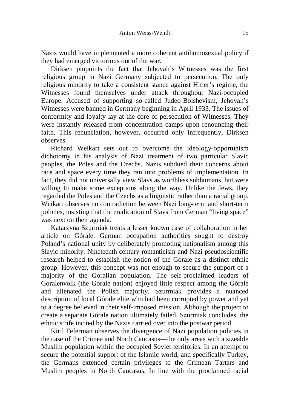Nazis would have implemented a more coherent antihomosexual policy if they had emerged victorious out of the war.

Dirksen pinpoints the fact that Jehovah's Witnesses was the first religious group in Nazi Germany subjected to persecution. The only religious minority to take a consistent stance against Hitler's regime, the Witnesses found themselves under attack throughout Nazi-occupied Europe. Accused of supporting so-called Judeo-Bolshevism, Jehovah's Witnesses were banned in Germany beginning in April 1933. The issues of conformity and loyalty lay at the core of persecution of Witnesses. They were instantly released from concentration camps upon renouncing their faith. This renunciation, however, occurred only infrequently, Dirksen observes.

Richard Weikart sets out to overcome the ideology-opportunism dichotomy in his analysis of Nazi treatment of two particular Slavic peoples, the Poles and the Czechs. Nazis subdued their concerns about race and space every time they ran into problems of implementation. In fact, they did not universally view Slavs as worthless subhumans, but were willing to make some exceptions along the way. Unlike the Jews, they regarded the Poles and the Czechs as a linguistic rather than a racial group. Weikart observes no contradiction between Nazi long-term and short-term policies, insisting that the eradication of Slavs from German "living space" was next on their agenda.

Katarzyna Szurmiak treats a lesser known case of collaboration in her article on Górale. German occupation authorities sought to destroy Poland's national unity by deliberately promoting nationalism among this Slavic minority. Nineteenth-century romanticism and Nazi pseudoscientific research helped to establish the notion of the Górale as a distinct ethnic group. However, this concept was not enough to secure the support of a majority of the Goralian population. The self-proclaimed leaders of Goralenvolk (the Górale nation) enjoyed little respect among the Górale and alienated the Polish majority. Szurmiak provides a nuanced description of local Górale elite who had been corrupted by power and yet to a degree believed in their self-imposed mission. Although the project to create a separate Górale nation ultimately failed, Szurmiak concludes, the ethnic strife incited by the Nazis carried over into the postwar period.

Kiril Feferman observes the divergence of Nazi population policies in the case of the Crimea and North Caucasus—the only areas with a sizeable Muslim population within the occupied Soviet territories. In an attempt to secure the potential support of the Islamic world, and specifically Turkey, the Germans extended certain privileges to the Crimean Tartars and Muslim peoples in North Caucasus. In line with the proclaimed racial